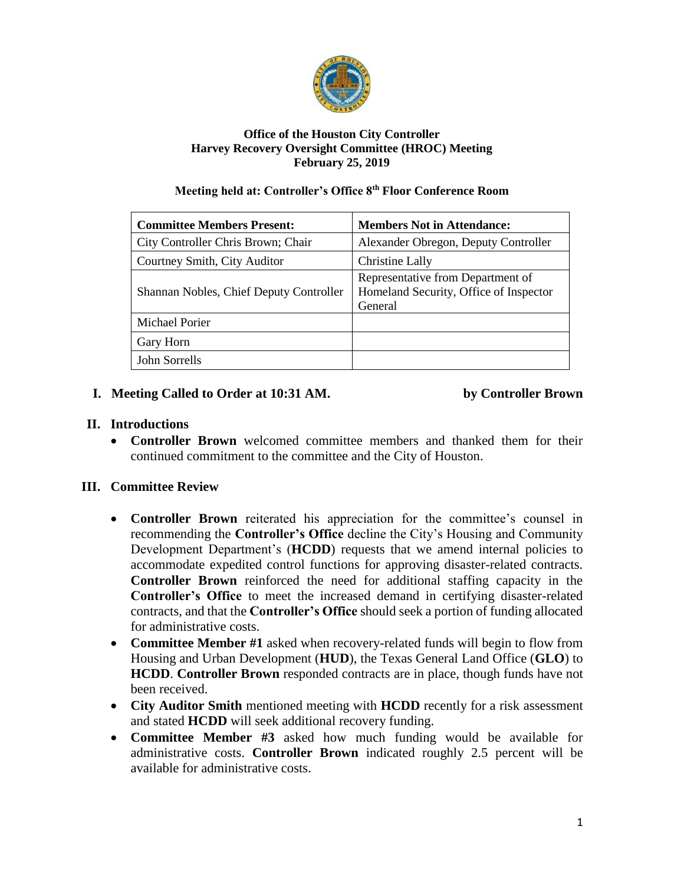

#### **Office of the Houston City Controller Harvey Recovery Oversight Committee (HROC) Meeting February 25, 2019**

#### **Meeting held at: Controller's Office 8th Floor Conference Room**

| <b>Committee Members Present:</b>       | <b>Members Not in Attendance:</b>                                                      |
|-----------------------------------------|----------------------------------------------------------------------------------------|
| City Controller Chris Brown; Chair      | Alexander Obregon, Deputy Controller                                                   |
| Courtney Smith, City Auditor            | Christine Lally                                                                        |
| Shannan Nobles, Chief Deputy Controller | Representative from Department of<br>Homeland Security, Office of Inspector<br>General |
| Michael Porier                          |                                                                                        |
| Gary Horn                               |                                                                                        |
| John Sorrells                           |                                                                                        |

## **I. Meeting Called to Order at 10:31 AM. by Controller Brown**

## **II. Introductions**

• **Controller Brown** welcomed committee members and thanked them for their continued commitment to the committee and the City of Houston.

## **III. Committee Review**

- **Controller Brown** reiterated his appreciation for the committee's counsel in recommending the **Controller's Office** decline the City's Housing and Community Development Department's (**HCDD**) requests that we amend internal policies to accommodate expedited control functions for approving disaster-related contracts. **Controller Brown** reinforced the need for additional staffing capacity in the **Controller's Office** to meet the increased demand in certifying disaster-related contracts, and that the **Controller's Office** should seek a portion of funding allocated for administrative costs.
- **Committee Member #1** asked when recovery-related funds will begin to flow from Housing and Urban Development (**HUD**), the Texas General Land Office (**GLO**) to **HCDD**. **Controller Brown** responded contracts are in place, though funds have not been received.
- **City Auditor Smith** mentioned meeting with **HCDD** recently for a risk assessment and stated **HCDD** will seek additional recovery funding.
- **Committee Member #3** asked how much funding would be available for administrative costs. **Controller Brown** indicated roughly 2.5 percent will be available for administrative costs.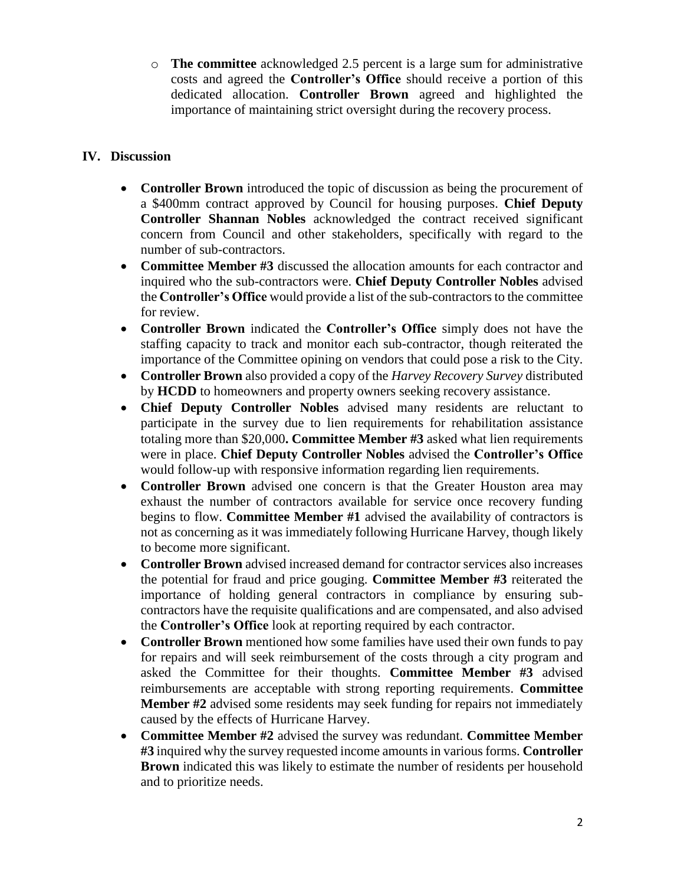o **The committee** acknowledged 2.5 percent is a large sum for administrative costs and agreed the **Controller's Office** should receive a portion of this dedicated allocation. **Controller Brown** agreed and highlighted the importance of maintaining strict oversight during the recovery process.

## **IV. Discussion**

- **Controller Brown** introduced the topic of discussion as being the procurement of a \$400mm contract approved by Council for housing purposes. **Chief Deputy Controller Shannan Nobles** acknowledged the contract received significant concern from Council and other stakeholders, specifically with regard to the number of sub-contractors.
- **Committee Member #3** discussed the allocation amounts for each contractor and inquired who the sub-contractors were. **Chief Deputy Controller Nobles** advised the **Controller's Office** would provide a list of the sub-contractors to the committee for review.
- **Controller Brown** indicated the **Controller's Office** simply does not have the staffing capacity to track and monitor each sub-contractor, though reiterated the importance of the Committee opining on vendors that could pose a risk to the City.
- **Controller Brown** also provided a copy of the *Harvey Recovery Survey* distributed by **HCDD** to homeowners and property owners seeking recovery assistance.
- **Chief Deputy Controller Nobles** advised many residents are reluctant to participate in the survey due to lien requirements for rehabilitation assistance totaling more than \$20,000**. Committee Member #3** asked what lien requirements were in place. **Chief Deputy Controller Nobles** advised the **Controller's Office** would follow-up with responsive information regarding lien requirements.
- **Controller Brown** advised one concern is that the Greater Houston area may exhaust the number of contractors available for service once recovery funding begins to flow. **Committee Member #1** advised the availability of contractors is not as concerning as it was immediately following Hurricane Harvey, though likely to become more significant.
- **Controller Brown** advised increased demand for contractor services also increases the potential for fraud and price gouging. **Committee Member #3** reiterated the importance of holding general contractors in compliance by ensuring subcontractors have the requisite qualifications and are compensated, and also advised the **Controller's Office** look at reporting required by each contractor.
- **Controller Brown** mentioned how some families have used their own funds to pay for repairs and will seek reimbursement of the costs through a city program and asked the Committee for their thoughts. **Committee Member #3** advised reimbursements are acceptable with strong reporting requirements. **Committee Member #2** advised some residents may seek funding for repairs not immediately caused by the effects of Hurricane Harvey.
- **Committee Member #2** advised the survey was redundant. **Committee Member #3** inquired why the survey requested income amounts in various forms. **Controller Brown** indicated this was likely to estimate the number of residents per household and to prioritize needs.